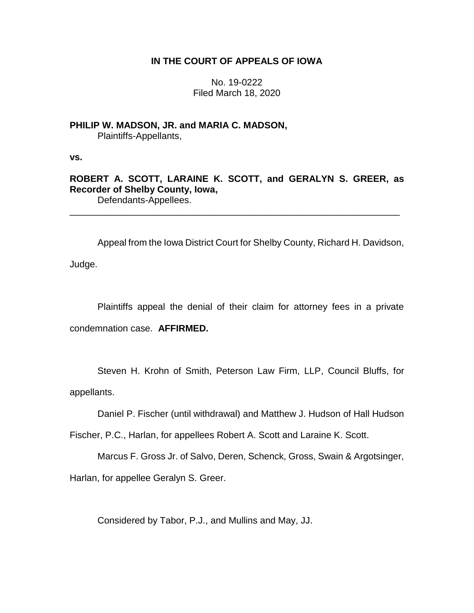## **IN THE COURT OF APPEALS OF IOWA**

No. 19-0222 Filed March 18, 2020

**PHILIP W. MADSON, JR. and MARIA C. MADSON,** Plaintiffs-Appellants,

**vs.**

**ROBERT A. SCOTT, LARAINE K. SCOTT, and GERALYN S. GREER, as Recorder of Shelby County, Iowa,** Defendants-Appellees.

\_\_\_\_\_\_\_\_\_\_\_\_\_\_\_\_\_\_\_\_\_\_\_\_\_\_\_\_\_\_\_\_\_\_\_\_\_\_\_\_\_\_\_\_\_\_\_\_\_\_\_\_\_\_\_\_\_\_\_\_\_\_\_\_

Appeal from the Iowa District Court for Shelby County, Richard H. Davidson, Judge.

Plaintiffs appeal the denial of their claim for attorney fees in a private condemnation case. **AFFIRMED.**

Steven H. Krohn of Smith, Peterson Law Firm, LLP, Council Bluffs, for appellants.

Daniel P. Fischer (until withdrawal) and Matthew J. Hudson of Hall Hudson

Fischer, P.C., Harlan, for appellees Robert A. Scott and Laraine K. Scott.

Marcus F. Gross Jr. of Salvo, Deren, Schenck, Gross, Swain & Argotsinger, Harlan, for appellee Geralyn S. Greer.

Considered by Tabor, P.J., and Mullins and May, JJ.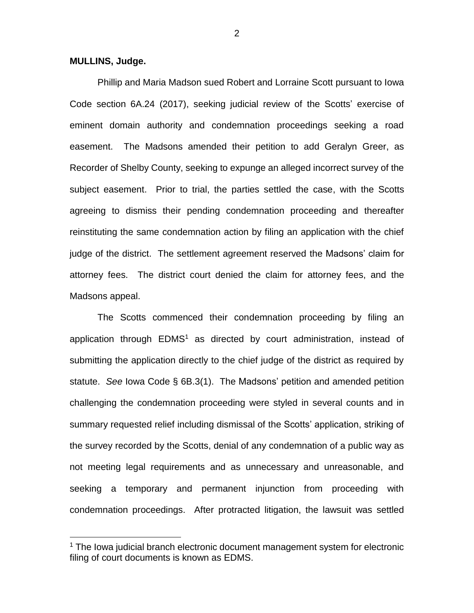## **MULLINS, Judge.**

 $\overline{a}$ 

Phillip and Maria Madson sued Robert and Lorraine Scott pursuant to Iowa Code section 6A.24 (2017), seeking judicial review of the Scotts' exercise of eminent domain authority and condemnation proceedings seeking a road easement. The Madsons amended their petition to add Geralyn Greer, as Recorder of Shelby County, seeking to expunge an alleged incorrect survey of the subject easement. Prior to trial, the parties settled the case, with the Scotts agreeing to dismiss their pending condemnation proceeding and thereafter reinstituting the same condemnation action by filing an application with the chief judge of the district. The settlement agreement reserved the Madsons' claim for attorney fees. The district court denied the claim for attorney fees, and the Madsons appeal.

The Scotts commenced their condemnation proceeding by filing an application through  $EDMS<sup>1</sup>$  as directed by court administration, instead of submitting the application directly to the chief judge of the district as required by statute. *See* Iowa Code § 6B.3(1). The Madsons' petition and amended petition challenging the condemnation proceeding were styled in several counts and in summary requested relief including dismissal of the Scotts' application, striking of the survey recorded by the Scotts, denial of any condemnation of a public way as not meeting legal requirements and as unnecessary and unreasonable, and seeking a temporary and permanent injunction from proceeding with condemnation proceedings. After protracted litigation, the lawsuit was settled

<sup>&</sup>lt;sup>1</sup> The Iowa judicial branch electronic document management system for electronic filing of court documents is known as EDMS.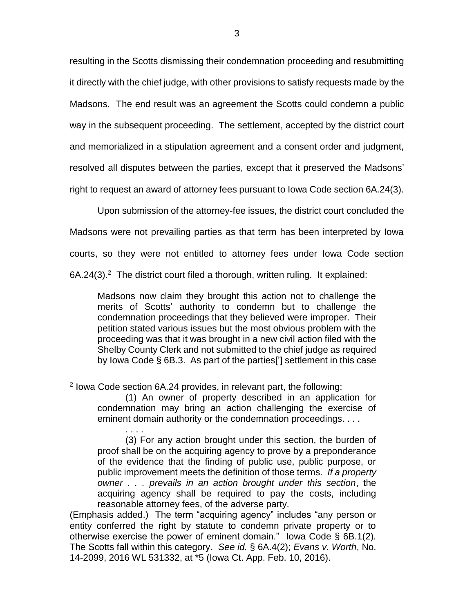resulting in the Scotts dismissing their condemnation proceeding and resubmitting it directly with the chief judge, with other provisions to satisfy requests made by the Madsons. The end result was an agreement the Scotts could condemn a public way in the subsequent proceeding. The settlement, accepted by the district court and memorialized in a stipulation agreement and a consent order and judgment, resolved all disputes between the parties, except that it preserved the Madsons' right to request an award of attorney fees pursuant to Iowa Code section 6A.24(3).

Upon submission of the attorney-fee issues, the district court concluded the

Madsons were not prevailing parties as that term has been interpreted by Iowa

courts, so they were not entitled to attorney fees under Iowa Code section

6A.24(3).<sup>2</sup> The district court filed a thorough, written ruling. It explained:

Madsons now claim they brought this action not to challenge the merits of Scotts' authority to condemn but to challenge the condemnation proceedings that they believed were improper. Their petition stated various issues but the most obvious problem with the proceeding was that it was brought in a new civil action filed with the Shelby County Clerk and not submitted to the chief judge as required by Iowa Code § 6B.3. As part of the parties['] settlement in this case

 $\overline{a}$ <sup>2</sup> Iowa Code section 6A.24 provides, in relevant part, the following:

<sup>(1)</sup> An owner of property described in an application for condemnation may bring an action challenging the exercise of eminent domain authority or the condemnation proceedings. . . .

<sup>. . . .</sup> (3) For any action brought under this section, the burden of proof shall be on the acquiring agency to prove by a preponderance of the evidence that the finding of public use, public purpose, or public improvement meets the definition of those terms. *If a property owner . . . prevails in an action brought under this section*, the acquiring agency shall be required to pay the costs, including reasonable attorney fees, of the adverse party.

<sup>(</sup>Emphasis added.) The term "acquiring agency" includes "any person or entity conferred the right by statute to condemn private property or to otherwise exercise the power of eminent domain." Iowa Code § 6B.1(2). The Scotts fall within this category. *See id.* § 6A.4(2); *Evans v. Worth*, No. 14-2099, 2016 WL 531332, at \*5 (Iowa Ct. App. Feb. 10, 2016).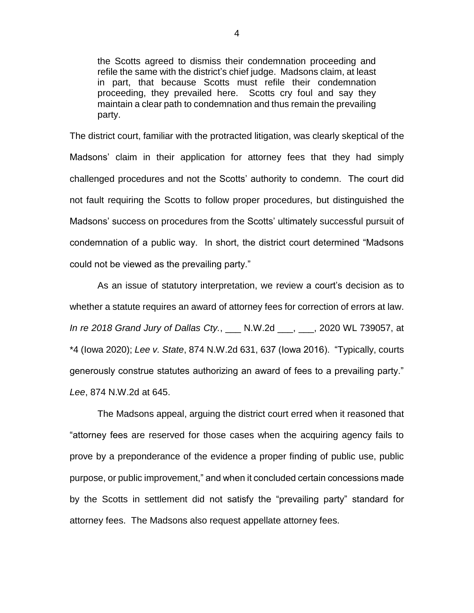the Scotts agreed to dismiss their condemnation proceeding and refile the same with the district's chief judge. Madsons claim, at least in part, that because Scotts must refile their condemnation proceeding, they prevailed here. Scotts cry foul and say they maintain a clear path to condemnation and thus remain the prevailing party.

The district court, familiar with the protracted litigation, was clearly skeptical of the Madsons' claim in their application for attorney fees that they had simply challenged procedures and not the Scotts' authority to condemn. The court did not fault requiring the Scotts to follow proper procedures, but distinguished the Madsons' success on procedures from the Scotts' ultimately successful pursuit of condemnation of a public way. In short, the district court determined "Madsons could not be viewed as the prevailing party."

As an issue of statutory interpretation, we review a court's decision as to whether a statute requires an award of attorney fees for correction of errors at law. *In re 2018 Grand Jury of Dallas Cty.*, \_\_\_ N.W.2d \_\_\_, \_\_\_, 2020 WL 739057, at \*4 (Iowa 2020); *Lee v. State*, 874 N.W.2d 631, 637 (Iowa 2016). "Typically, courts generously construe statutes authorizing an award of fees to a prevailing party." *Lee*, 874 N.W.2d at 645.

The Madsons appeal, arguing the district court erred when it reasoned that "attorney fees are reserved for those cases when the acquiring agency fails to prove by a preponderance of the evidence a proper finding of public use, public purpose, or public improvement," and when it concluded certain concessions made by the Scotts in settlement did not satisfy the "prevailing party" standard for attorney fees. The Madsons also request appellate attorney fees.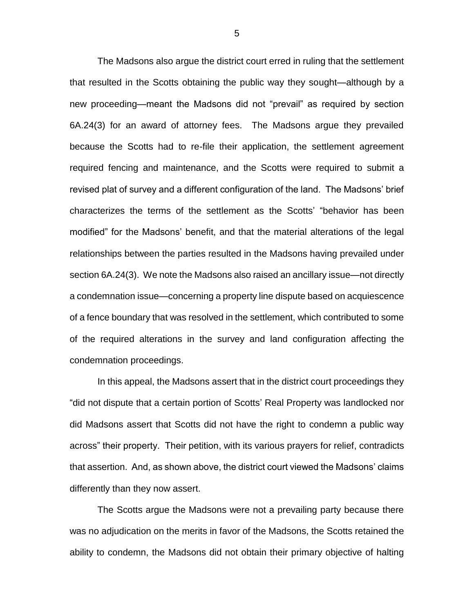The Madsons also argue the district court erred in ruling that the settlement that resulted in the Scotts obtaining the public way they sought—although by a new proceeding—meant the Madsons did not "prevail" as required by section 6A.24(3) for an award of attorney fees. The Madsons argue they prevailed because the Scotts had to re-file their application, the settlement agreement required fencing and maintenance, and the Scotts were required to submit a revised plat of survey and a different configuration of the land. The Madsons' brief characterizes the terms of the settlement as the Scotts' "behavior has been modified" for the Madsons' benefit, and that the material alterations of the legal relationships between the parties resulted in the Madsons having prevailed under section 6A.24(3). We note the Madsons also raised an ancillary issue—not directly a condemnation issue—concerning a property line dispute based on acquiescence of a fence boundary that was resolved in the settlement, which contributed to some of the required alterations in the survey and land configuration affecting the condemnation proceedings.

In this appeal, the Madsons assert that in the district court proceedings they "did not dispute that a certain portion of Scotts' Real Property was landlocked nor did Madsons assert that Scotts did not have the right to condemn a public way across" their property. Their petition, with its various prayers for relief, contradicts that assertion. And, as shown above, the district court viewed the Madsons' claims differently than they now assert.

The Scotts argue the Madsons were not a prevailing party because there was no adjudication on the merits in favor of the Madsons, the Scotts retained the ability to condemn, the Madsons did not obtain their primary objective of halting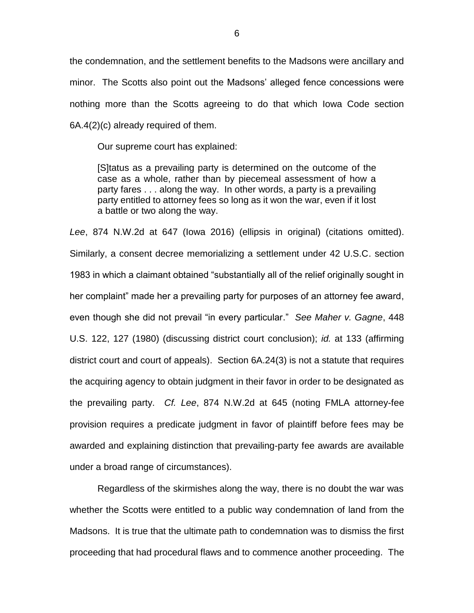the condemnation, and the settlement benefits to the Madsons were ancillary and minor. The Scotts also point out the Madsons' alleged fence concessions were nothing more than the Scotts agreeing to do that which Iowa Code section 6A.4(2)(c) already required of them.

Our supreme court has explained:

[S]tatus as a prevailing party is determined on the outcome of the case as a whole, rather than by piecemeal assessment of how a party fares . . . along the way. In other words, a party is a prevailing party entitled to attorney fees so long as it won the war, even if it lost a battle or two along the way.

*Lee*, 874 N.W.2d at 647 (Iowa 2016) (ellipsis in original) (citations omitted). Similarly, a consent decree memorializing a settlement under 42 U.S.C. section 1983 in which a claimant obtained "substantially all of the relief originally sought in her complaint" made her a prevailing party for purposes of an attorney fee award, even though she did not prevail "in every particular." *See Maher v. Gagne*, 448 U.S. 122, 127 (1980) (discussing district court conclusion); *id.* at 133 (affirming district court and court of appeals). Section 6A.24(3) is not a statute that requires the acquiring agency to obtain judgment in their favor in order to be designated as the prevailing party. *Cf. Lee*, 874 N.W.2d at 645 (noting FMLA attorney-fee provision requires a predicate judgment in favor of plaintiff before fees may be awarded and explaining distinction that prevailing-party fee awards are available under a broad range of circumstances).

Regardless of the skirmishes along the way, there is no doubt the war was whether the Scotts were entitled to a public way condemnation of land from the Madsons. It is true that the ultimate path to condemnation was to dismiss the first proceeding that had procedural flaws and to commence another proceeding. The